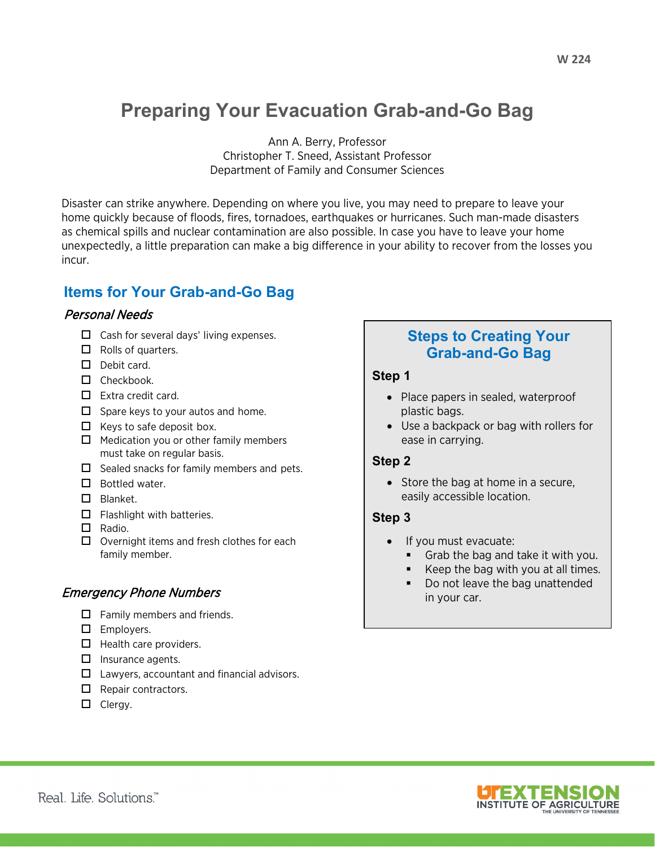# **Preparing Your Evacuation Grab-and-Go Bag**

Ann A. Berry, Professor Christopher T. Sneed, Assistant Professor Department of Family and Consumer Sciences

Disaster can strike anywhere. Depending on where you live, you may need to prepare to leave your home quickly because of floods, fires, tornadoes, earthquakes or hurricanes. Such man-made disasters as chemical spills and nuclear contamination are also possible. In case you have to leave your home unexpectedly, a little preparation can make a big difference in your ability to recover from the losses you incur.

# **Items for Your Grab-and-Go Bag**

#### Personal Needs

- $\Box$  Cash for several days' living expenses.
- $\Box$  Rolls of quarters.
- $\Box$  Debit card.
- $\Box$  Checkbook.
- $\Box$  Extra credit card.
- $\Box$  Spare keys to your autos and home.
- $\Box$  Keys to safe deposit box.
- $\Box$  Medication you or other family members must take on regular basis.
- $\Box$  Sealed snacks for family members and pets.
- $\Box$  Bottled water.
- $\Box$  Blanket.
- $\Box$  Flashlight with batteries.
- $\Box$  Radio.
- $\Box$  Overnight items and fresh clothes for each family member.

#### Emergency Phone Numbers

- $\Box$  Family members and friends.
- $\square$  Employers.
- $\Box$  Health care providers.
- $\Box$  Insurance agents.
- $\Box$  Lawyers, accountant and financial advisors.
- $\Box$  Repair contractors.
- $\Box$  Clergy.

## **Steps to Creating Your Grab-and-Go Bag**

#### **Step 1**

- Place papers in sealed, waterproof plastic bags.
- Use a backpack or bag with rollers for ease in carrying.

#### **Step 2**

• Store the bag at home in a secure, easily accessible location.

#### **Step 3**

- If you must evacuate:
	- **Grab the bag and take it with you.**
	- Keep the bag with you at all times.
	- Do not leave the bag unattended in your car.